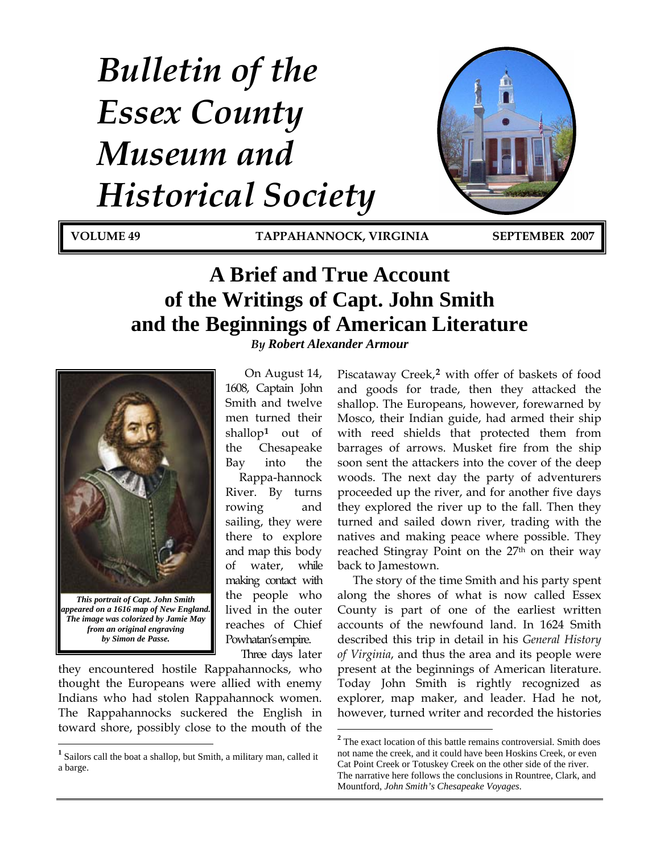# *Bulletin of the Essex County Museum and Historical Society*

**VOLUME 49 TAPPAHANNOCK, VIRGINIA SEPTEMBER 2007**

## **A Brief and True Account of the Writings of Capt. John Smith and the Beginnings of American Literature** *By Robert Alexander Armour*



*The image was colorized by Jamie May from an original engraving by Simon de Passe.* 

<span id="page-0-1"></span> $\overline{a}$ 

On August 14, 1608, Captain John Smith and twelve men turned their shallop**[1](#page-0-0)** out of the Chesapeake Bay into the

reaches of Chief Pow hatan's empire. Rappa-hannock River. By turns rowing and sailing, they were there to explore and map this body of water, while making contact with the people who lived in the outer

Three days later

they encountered hostile Rappahannocks, who thought the Europeans were allied with enemy Indians who had stolen Rappahannock women. The Rappahannocks suckered the English in toward shore, possibly close to the mouth of the Piscataway Creek,**[2](#page-0-1)** with offer of baskets of food and goods for trade, then they attacked the shallop. The Europeans, however, forewarned by Mosco, their Indian guide, had armed their ship with reed shields that protected them from barrages of arrows. Musket fire from the ship soon sent the attackers into the cover of the deep woods. The next day the party of adventurers proceeded up the river, and for another five days they explored the river up to the fall. Then they turned and sailed down river, trading with the natives and making peace where possible. They reached Stingray Point on the 27<sup>th</sup> on their way back to Jamestown.

The story of the time Smith and his party spent along the shores of what is now called Essex County is part of one of the earliest written accounts of the newfound land. In 1624 Smith described this trip in detail in his *General History of Virginia*, and thus the area and its people were present at the beginnings of American literature. Today John Smith is rightly recognized as explorer, map maker, and leader. Had he not, however, turned writer and recorded the histories

<span id="page-0-0"></span>**<sup>1</sup>** Sailors call the boat a shallop, but Smith, a military man, called it a barge.

<sup>&</sup>lt;sup>2</sup> The exact location of this battle remains controversial. Smith does not name the creek, and it could have been Hoskins Creek, or even Cat Point Creek or Totuskey Creek on the other side of the river. The narrative here follows the conclusions in Rountree, Clark, and Mountford, *John Smith's Chesapeake Voyages*.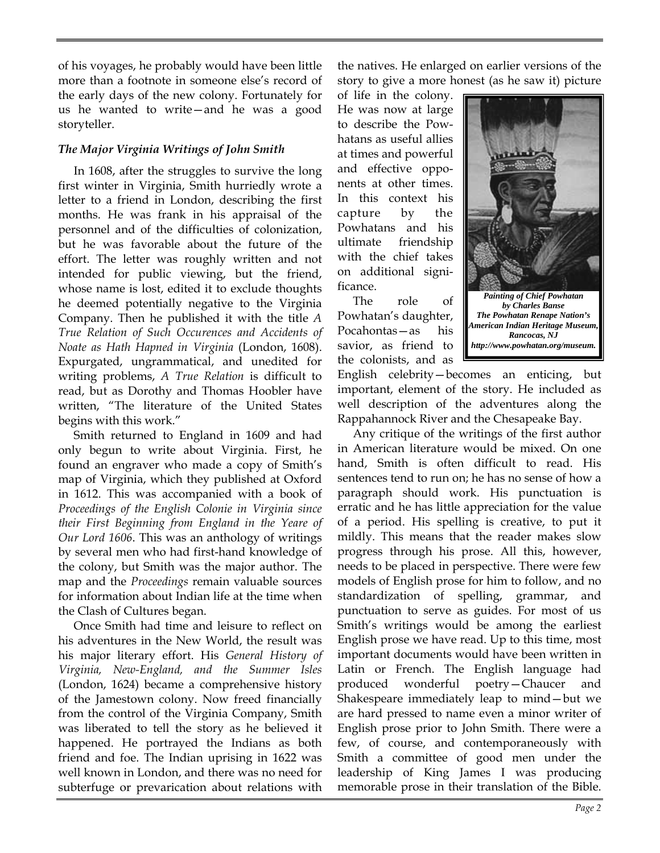of his voyages, he probably would have been little more than a footnote in someone else's record of the early days of the new colony. Fortunately for us he wanted to write—and he was a good storyteller.

## *The Major Virginia Writings of John Smith*

In 1608, after the struggles to survive the long first winter in Virginia, Smith hurriedly wrote a letter to a friend in London, describing the first months. He was frank in his appraisal of the personnel and of the difficulties of colonization, but he was favorable about the future of the effort. The letter was roughly written and not intended for public viewing, but the friend, whose name is lost, edited it to exclude thoughts he deemed potentially negative to the Virginia Company. Then he published it with the title *A True Relation of Such Occurences and Accidents of Noate as Hath Hapned in Virginia* (London, 1608). Expurgated, ungrammatical, and unedited for writing problems, *A True Relation* is difficult to read, but as Dorothy and Thomas Hoobler have written, "The literature of the United States begins with this work."

Smith returned to England in 1609 and had only begun to write about Virginia. First, he found an engraver who made a copy of Smith's map of Virginia, which they published at Oxford in 1612. This was accompanied with a book of *Proceedings of the English Colonie in Virginia since their First Beginning from England in the Yeare of Our Lord 1606*. This was an anthology of writings by several men who had first-hand knowledge of the colony, but Smith was the major author. The map and the *Proceedings* remain valuable sources for information about Indian life at the time when the Clash of Cultures began.

Once Smith had time and leisure to reflect on his adventures in the New World, the result was his major literary effort. His *General History of Virginia, New-England, and the Summer Isles* (London, 1624) became a comprehensive history of the Jamestown colony. Now freed financially from the control of the Virginia Company, Smith was liberated to tell the story as he believed it happened. He portrayed the Indians as both friend and foe. The Indian uprising in 1622 was well known in London, and there was no need for subterfuge or prevarication about relations with

the natives. He enlarged on earlier versions of the story to give a more honest (as he saw it) picture

of life in the colony. He was now at large to describe the Powhatans as useful allies at times and powerful and effective opponents at other times. In this context his capture by the Powhatans and his ultimate friendship with the chief takes on additional significance.

The role of Powhatan's daughter, Pocahontas—as his savior, as friend to the colonists, and as



*The Powhatan Renape Nation's American Indian Heritage Museum, Rancocas, NJ http://www.powhatan.org/museum.*

English celebrity—becomes an enticing, but important, element of the story. He included as well description of the adventures along the Rappahannock River and the Chesapeake Bay.

Any critique of the writings of the first author in American literature would be mixed. On one hand, Smith is often difficult to read. His sentences tend to run on; he has no sense of how a paragraph should work. His punctuation is erratic and he has little appreciation for the value of a period. His spelling is creative, to put it mildly. This means that the reader makes slow progress through his prose. All this, however, needs to be placed in perspective. There were few models of English prose for him to follow, and no standardization of spelling, grammar, and punctuation to serve as guides. For most of us Smith's writings would be among the earliest English prose we have read. Up to this time, most important documents would have been written in Latin or French. The English language had produced wonderful poetry—Chaucer and Shakespeare immediately leap to mind—but we are hard pressed to name even a minor writer of English prose prior to John Smith. There were a few, of course, and contemporaneously with Smith a committee of good men under the leadership of King James I was producing memorable prose in their translation of the Bible.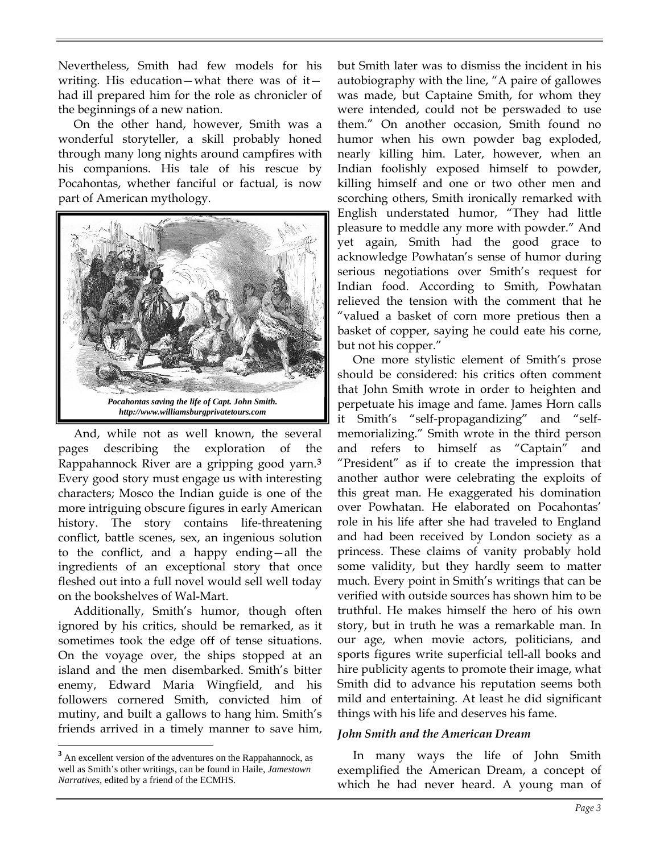Nevertheless, Smith had few models for his writing. His education—what there was of it had ill prepared him for the role as chronicler of the beginnings of a new nation.

On the other hand, however, Smith was a wonderful storyteller, a skill probably honed through many long nights around campfires with his companions. His tale of his rescue by Pocahontas, whether fanciful or factual, is now part of American mythology.



And, while not as well known, the several pages describing the exploration of the Rappahannock River are a gripping good yarn.**[3](#page-2-0)** Every good story must engage us with interesting characters; Mosco the Indian guide is one of the more intriguing obscure figures in early American history. The story contains life-threatening conflict, battle scenes, sex, an ingenious solution to the conflict, and a happy ending—all the ingredients of an exceptional story that once fleshed out into a full novel would sell well today on the bookshelves of Wal-Mart.

Additionally, Smith's humor, though often ignored by his critics, should be remarked, as it sometimes took the edge off of tense situations. On the voyage over, the ships stopped at an island and the men disembarked. Smith's bitter enemy, Edward Maria Wingfield, and his followers cornered Smith, convicted him of mutiny, and built a gallows to hang him. Smith's friends arrived in a timely manner to save him,

 $\overline{a}$ 

but Smith later was to dismiss the incident in his autobiography with the line, "A paire of gallowes was made, but Captaine Smith, for whom they were intended, could not be perswaded to use them." On another occasion, Smith found no humor when his own powder bag exploded, nearly killing him. Later, however, when an Indian foolishly exposed himself to powder, killing himself and one or two other men and scorching others, Smith ironically remarked with English understated humor, "They had little pleasure to meddle any more with powder." And yet again, Smith had the good grace to acknowledge Powhatan's sense of humor during serious negotiations over Smith's request for Indian food. According to Smith, Powhatan relieved the tension with the comment that he "valued a basket of corn more pretious then a basket of copper, saying he could eate his corne, but not his copper."

One more stylistic element of Smith's prose should be considered: his critics often comment that John Smith wrote in order to heighten and perpetuate his image and fame. James Horn calls it Smith's "self-propagandizing" and "selfmemorializing." Smith wrote in the third person and refers to himself as "Captain" and "President" as if to create the impression that another author were celebrating the exploits of this great man. He exaggerated his domination over Powhatan. He elaborated on Pocahontas' role in his life after she had traveled to England and had been received by London society as a princess. These claims of vanity probably hold some validity, but they hardly seem to matter much. Every point in Smith's writings that can be verified with outside sources has shown him to be truthful. He makes himself the hero of his own story, but in truth he was a remarkable man. In our age, when movie actors, politicians, and sports figures write superficial tell-all books and hire publicity agents to promote their image, what Smith did to advance his reputation seems both mild and entertaining. At least he did significant things with his life and deserves his fame.

#### *John Smith and the American Dream*

In many ways the life of John Smith exemplified the American Dream, a concept of which he had never heard. A young man of

<span id="page-2-0"></span><sup>&</sup>lt;sup>3</sup> An excellent version of the adventures on the Rappahannock, as well as Smith's other writings, can be found in Haile, *Jamestown Narratives*, edited by a friend of the ECMHS.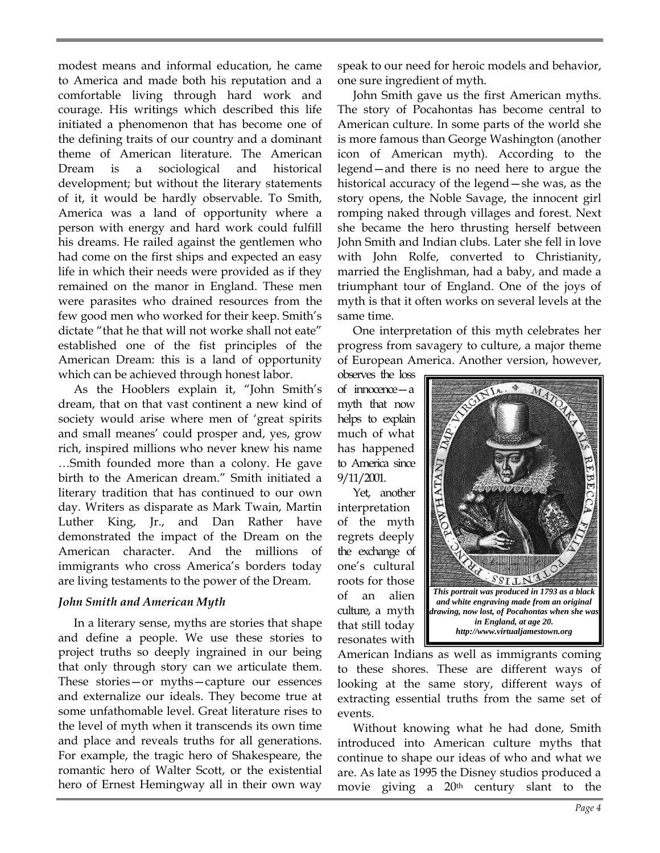modest means and informal education, he came to America and made both his reputation and a comfortable living through hard work and courage. His writings which described this life initiated a phenomenon that has become one of the defining traits of our country and a dominant theme of American literature. The American Dream is a sociological and historical development; but without the literary statements of it, it would be hardly observable. To Smith, America was a land of opportunity where a person with energy and hard work could fulfill his dreams. He railed against the gentlemen who had come on the first ships and expected an easy life in which their needs were provided as if they remained on the manor in England. These men were parasites who drained resources from the few good men who worked for their keep. Smith's dictate "that he that will not worke shall not eate" established one of the fist principles of the American Dream: this is a land of opportunity which can be achieved through honest labor.

As the Hooblers explain it, "John Smith's dream, that on that vast continent a new kind of society would arise where men of 'great spirits and small meanes' could prosper and, yes, grow rich, inspired millions who never knew his name …Smith founded more than a colony. He gave birth to the American dream." Smith initiated a literary tradition that has continued to our own day. Writers as disparate as Mark Twain, Martin Luther King, Jr., and Dan Rather have demonstrated the impact of the Dream on the American character. And the millions of immigrants who cross America's borders today are living testaments to the power of the Dream.

## *John Smith and American Myth*

In a literary sense, myths are stories that shape and define a people. We use these stories to project truths so deeply ingrained in our being that only through story can we articulate them. These stories—or myths—capture our essences and externalize our ideals. They become true at some unfathomable level. Great literature rises to the level of myth when it transcends its own time and place and reveals truths for all generations. For example, the tragic hero of Shakespeare, the romantic hero of Walter Scott, or the existential hero of Ernest Hemingway all in their own way

speak to our need for heroic models and behavior, one sure ingredient of myth.

John Smith gave us the first American myths. The story of Pocahontas has become central to American culture. In some parts of the world she is more famous than George Washington (another icon of American myth). According to the legend—and there is no need here to argue the historical accuracy of the legend—she was, as the story opens, the Noble Savage, the innocent girl romping naked through villages and forest. Next she became the hero thrusting herself between John Smith and Indian clubs. Later she fell in love with John Rolfe, converted to Christianity, married the Englishman, had a baby, and made a triumphant tour of England. One of the joys of myth is that it often works on several levels at the same time.

One interpretation of this myth celebrates her progress from savagery to culture, a major theme of European America. Another version, however,

observes the loss of innocence—a myth that now helps to explain much of what has happened to America since 9/11/2001.

Yet, another interpretation of the myth regrets deeply the exchange of one's cultural roots for those of an alien culture, a myth that still today resonates with



American Indians as well as immigrants coming to these shores. These are different ways of looking at the same story, different ways of extracting essential truths from the same set of events.

Without knowing what he had done, Smith introduced into American culture myths that continue to shape our ideas of who and what we are. As late as 1995 the Disney studios produced a movie giving a 20th century slant to the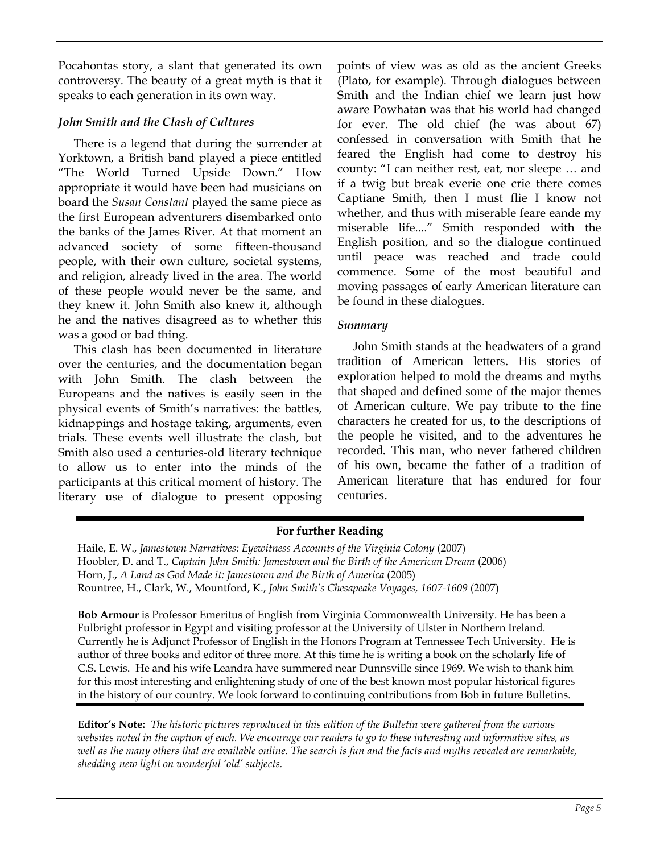Pocahontas story, a slant that generated its own controversy. The beauty of a great myth is that it speaks to each generation in its own way.

## *John Smith and the Clash of Cultures*

There is a legend that during the surrender at Yorktown, a British band played a piece entitled "The World Turned Upside Down." How appropriate it would have been had musicians on board the *Susan Constant* played the same piece as the first European adventurers disembarked onto the banks of the James River. At that moment an advanced society of some fifteen-thousand people, with their own culture, societal systems, and religion, already lived in the area. The world of these people would never be the same, and they knew it. John Smith also knew it, although he and the natives disagreed as to whether this was a good or bad thing.

This clash has been documented in literature over the centuries, and the documentation began with John Smith. The clash between the Europeans and the natives is easily seen in the physical events of Smith's narratives: the battles, kidnappings and hostage taking, arguments, even trials. These events well illustrate the clash, but Smith also used a centuries-old literary technique to allow us to enter into the minds of the participants at this critical moment of history. The literary use of dialogue to present opposing points of view was as old as the ancient Greeks (Plato, for example). Through dialogues between Smith and the Indian chief we learn just how aware Powhatan was that his world had changed for ever. The old chief (he was about 67) confessed in conversation with Smith that he feared the English had come to destroy his county: "I can neither rest, eat, nor sleepe … and if a twig but break everie one crie there comes Captiane Smith, then I must flie I know not whether, and thus with miserable feare eande my miserable life...." Smith responded with the English position, and so the dialogue continued until peace was reached and trade could commence. Some of the most beautiful and moving passages of early American literature can be found in these dialogues.

## *Summary*

John Smith stands at the headwaters of a grand tradition of American letters. His stories of exploration helped to mold the dreams and myths that shaped and defined some of the major themes of American culture. We pay tribute to the fine characters he created for us, to the descriptions of the people he visited, and to the adventures he recorded. This man, who never fathered children of his own, became the father of a tradition of American literature that has endured for four centuries.

## **For further Reading**

Haile, E. W., *Jamestown Narratives: Eyewitness Accounts of the Virginia Colony* (2007) Hoobler, D. and T., *Captain John Smith: Jamestown and the Birth of the American Dream* (2006) Horn, J., *A Land as God Made it: Jamestown and the Birth of America* (2005) Rountree, H., Clark, W., Mountford, K., *John Smith's Chesapeake Voyages, 1607-1609* (2007)

**Bob Armour** is Professor Emeritus of English from Virginia Commonwealth University. He has been a Fulbright professor in Egypt and visiting professor at the University of Ulster in Northern Ireland. Currently he is Adjunct Professor of English in the Honors Program at Tennessee Tech University. He is author of three books and editor of three more. At this time he is writing a book on the scholarly life of C.S. Lewis. He and his wife Leandra have summered near Dunnsville since 1969. We wish to thank him for this most interesting and enlightening study of one of the best known most popular historical figures in the history of our country. We look forward to continuing contributions from Bob in future Bulletins.

**Editor's Note:** *The historic pictures reproduced in this edition of the Bulletin were gathered from the various websites noted in the caption of each. We encourage our readers to go to these interesting and informative sites, as well as the many others that are available online. The search is fun and the facts and myths revealed are remarkable, shedding new light on wonderful 'old' subjects.*